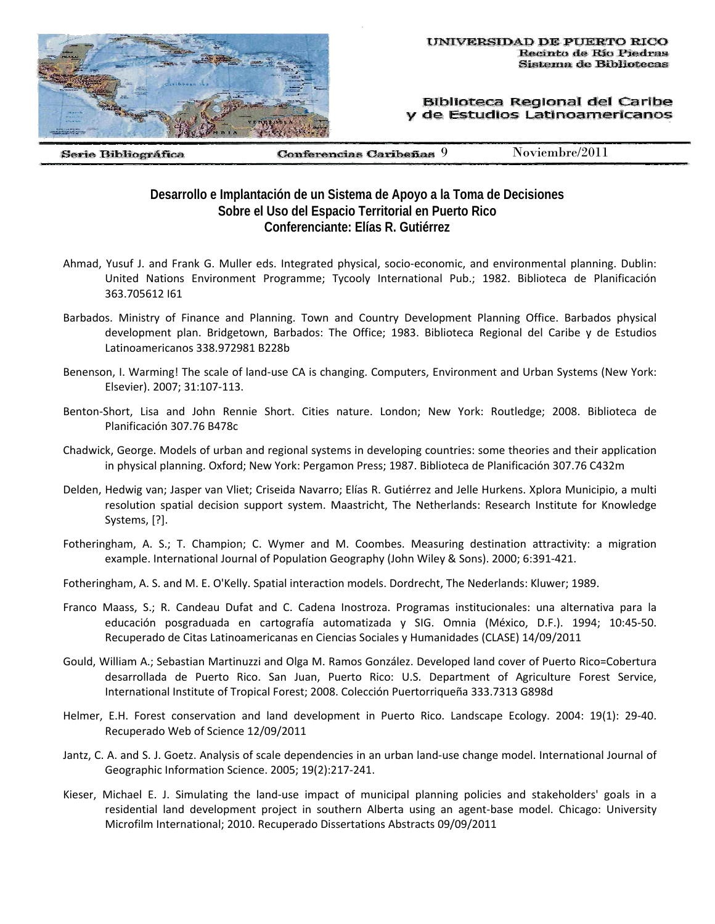

## Biblioteca Regional del Caribe y de Estudios Latinoamericanos

Serie Bibliográfica

Conferencias Caribeñas 9 Noviembre/2011

## **Desarrollo e Implantación de un Sistema de Apoyo a la Toma de Decisiones Sobre el Uso del Espacio Territorial en Puerto Rico Conferenciante: Elías R. Gutiérrez**

- Ahmad, Yusuf J. and Frank G. Muller eds. Integrated physical, socio‐economic, and environmental planning. Dublin: United Nations Environment Programme; Tycooly International Pub.; 1982. Biblioteca de Planificación 363.705612 I61
- Barbados. Ministry of Finance and Planning. Town and Country Development Planning Office. Barbados physical development plan. Bridgetown, Barbados: The Office; 1983. Biblioteca Regional del Caribe y de Estudios Latinoamericanos 338.972981 B228b
- Benenson, I. Warming! The scale of land-use CA is changing. Computers, Environment and Urban Systems (New York: Elsevier). 2007; 31:107‐113.
- Benton‐Short, Lisa and John Rennie Short. Cities nature. London; New York: Routledge; 2008. Biblioteca de Planificación 307.76 B478c
- Chadwick, George. Models of urban and regional systems in developing countries: some theories and their application in physical planning. Oxford; New York: Pergamon Press; 1987. Biblioteca de Planificación 307.76 C432m
- Delden, Hedwig van; Jasper van Vliet; Criseida Navarro; Elías R. Gutiérrez and Jelle Hurkens. Xplora Municipio, a multi resolution spatial decision support system. Maastricht, The Netherlands: Research Institute for Knowledge Systems, [?].
- Fotheringham, A. S.; T. Champion; C. Wymer and M. Coombes. Measuring destination attractivity: a migration example. International Journal of Population Geography (John Wiley & Sons). 2000; 6:391‐421.
- Fotheringham, A. S. and M. E. O'Kelly. Spatial interaction models. Dordrecht, The Nederlands: Kluwer; 1989.
- Franco Maass, S.; R. Candeau Dufat and C. Cadena Inostroza. Programas institucionales: una alternativa para la educación posgraduada en cartografía automatizada y SIG. Omnia (México, D.F.). 1994; 10:45‐50. Recuperado de Citas Latinoamericanas en Ciencias Sociales y Humanidades (CLASE) 14/09/2011
- Gould, William A.; Sebastian Martinuzzi and Olga M. Ramos González. Developed land cover of Puerto Rico=Cobertura desarrollada de Puerto Rico. San Juan, Puerto Rico: U.S. Department of Agriculture Forest Service, International Institute of Tropical Forest; 2008. Colección Puertorriqueña 333.7313 G898d
- Helmer, E.H. Forest conservation and land development in Puerto Rico. Landscape Ecology. 2004: 19(1): 29‐40. Recuperado Web of Science 12/09/2011
- Jantz, C. A. and S. J. Goetz. Analysis of scale dependencies in an urban land‐use change model. International Journal of Geographic Information Science. 2005; 19(2):217‐241.
- Kieser, Michael E. J. Simulating the land‐use impact of municipal planning policies and stakeholders' goals in a residential land development project in southern Alberta using an agent-base model. Chicago: University Microfilm International; 2010. Recuperado Dissertations Abstracts 09/09/2011